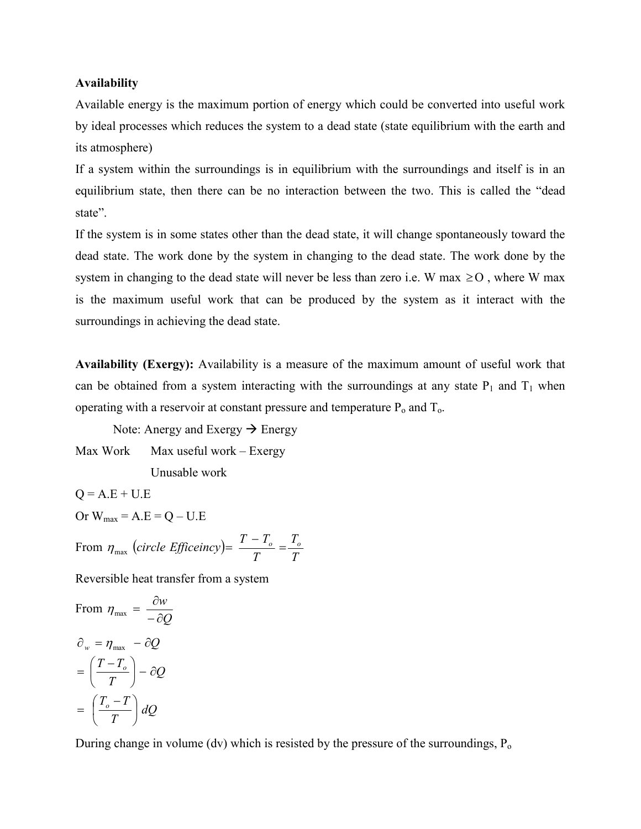# **Availability**

Available energy is the maximum portion of energy which could be converted into useful work by ideal processes which reduces the system to a dead state (state equilibrium with the earth and its atmosphere)

If a system within the surroundings is in equilibrium with the surroundings and itself is in an equilibrium state, then there can be no interaction between the two. This is called the "dead state".

If the system is in some states other than the dead state, it will change spontaneously toward the dead state. The work done by the system in changing to the dead state. The work done by the system in changing to the dead state will never be less than zero i.e. W max  $\geq O$ , where W max is the maximum useful work that can be produced by the system as it interact with the surroundings in achieving the dead state.

**Availability (Exergy):** Availability is a measure of the maximum amount of useful work that can be obtained from a system interacting with the surroundings at any state  $P_1$  and  $T_1$  when operating with a reservoir at constant pressure and temperature  $P_0$  and  $T_0$ .

Note: Anergy and Exergy  $\rightarrow$  Energy

Max Work Max useful work – Exergy Unusable work

$$
Q = A.E + U.E
$$

Or  $W_{max} = A.E = Q - U.E$ 

From  $\eta_{\text{max}}$  (circle Efficeincy)=  $\frac{T}{T} = \frac{T_0}{T}$ *T*  $\eta_{\text{max}}$  (circle Efficeincy)=  $\frac{T - T_o}{T} = \frac{T_o}{T}$ 

Reversible heat transfer from a system

From 
$$
\eta_{\text{max}} = \frac{\partial w}{-\partial Q}
$$
  
\n $\partial_w = \eta_{\text{max}} - \partial Q$   
\n $= \left(\frac{T - T_o}{T}\right) - \partial Q$   
\n $= \left(\frac{T_o - T}{T}\right) dQ$ 

During change in volume (dv) which is resisted by the pressure of the surroundings,  $P_0$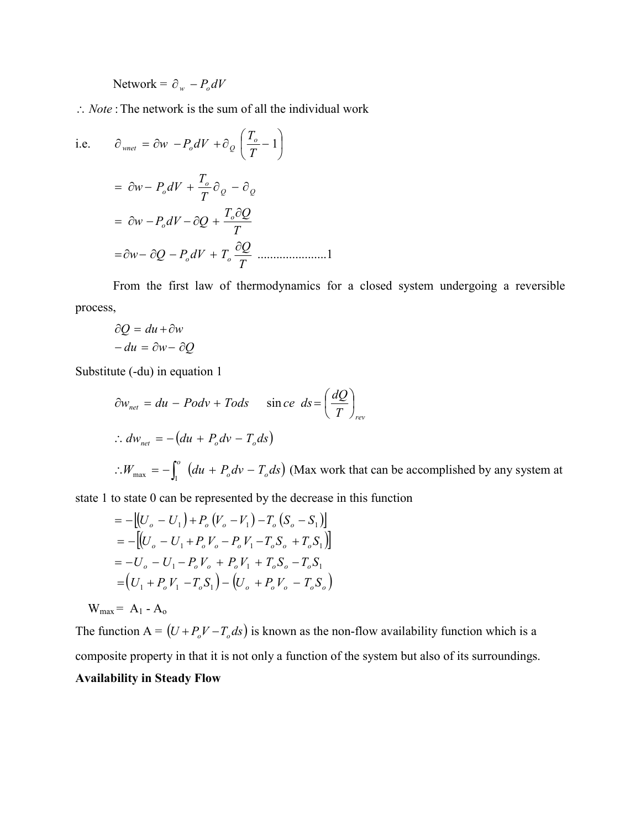Network =  $\partial_w - P_o dV$ 

*Note* :The network is the sum of all the individual work

i.e. 
$$
\partial_{wnet} = \partial w - P_o dV + \partial_Q \left(\frac{T_o}{T} - 1\right)
$$

$$
= \partial w - P_o dV + \frac{T_o}{T} \partial_Q - \partial_Q
$$

$$
= \partial w - P_o dV - \partial Q + \frac{T_o \partial Q}{T}
$$

$$
= \partial w - \partial Q - P_o dV + T_o \frac{\partial Q}{T}
$$
............1

From the first law of thermodynamics for a closed system undergoing a reversible process,

$$
\partial Q = du + \partial w
$$

$$
- du = \partial w - \partial Q
$$

Substitute (-du) in equation 1

$$
\partial w_{net} = du - Podv + Tods \quad \text{sin } ce \, ds = \left(\frac{dQ}{T}\right)_{rev}
$$
\n
$$
\therefore dw_{net} = -(du + P_o dv - T_o ds)
$$
\n
$$
\therefore W_{max} = -\int_1^o \left(du + P_o dv - T_o ds\right) \text{ (Max work that can be accomplished by any system at}
$$

state 1 to state 0 can be represented by the decrease in this function

$$
= -[(U_o - U_1) + P_o (V_o - V_1) - T_o (S_o - S_1)]
$$
  
\n
$$
= -[(U_o - U_1 + P_o V_o - P_o V_1 - T_o S_o + T_o S_1)]
$$
  
\n
$$
= -U_o - U_1 - P_o V_o + P_o V_1 + T_o S_o - T_o S_1
$$
  
\n
$$
= (U_1 + P_o V_1 - T_o S_1) - (U_o + P_o V_o - T_o S_o)
$$

$$
W_{\text{max}} = A_1 - A_0
$$

The function  $A = (U + P_o V - T_o ds)$  is known as the non-flow availability function which is a composite property in that it is not only a function of the system but also of its surroundings. **Availability in Steady Flow**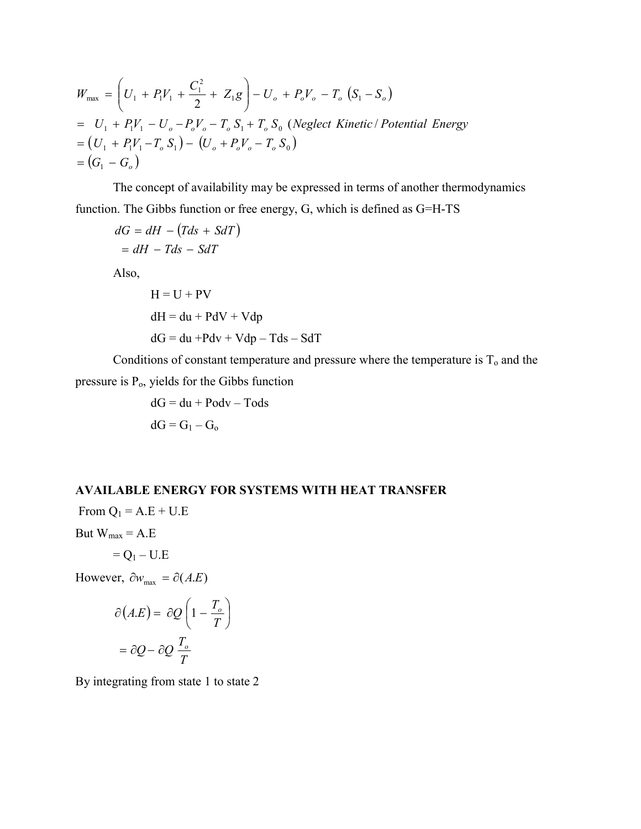$$
W_{\text{max}} = \left( U_1 + P_1 V_1 + \frac{C_1^2}{2} + Z_1 g \right) - U_o + P_o V_o - T_o \left( S_1 - S_o \right)
$$
  
=  $U_1 + P_1 V_1 - U_o - P_o V_o - T_o S_1 + T_o S_0$  (Neglect Kinetic / Potential Energy)  
=  $(U_1 + P_1 V_1 - T_o S_1) - (U_o + P_o V_o - T_o S_0)$   
=  $(G_1 - G_o)$ 

The concept of availability may be expressed in terms of another thermodynamics function. The Gibbs function or free energy, G, which is defined as G=H-TS

$$
dG = dH - (Tds + SdT)
$$
  
=  $dH - Tds - SdT$   
Also,  

$$
H = U + PV
$$
  

$$
dH = du + PdV + Vdp
$$
  

$$
dG = du + Pdv + Vdp - Tds - SdT
$$

Conditions of constant temperature and pressure where the temperature is  $T_0$  and the pressure is  $P_0$ , yields for the Gibbs function

$$
dG = du + Podv - Tods
$$

$$
dG = G1 - Go
$$

# **AVAILABLE ENERGY FOR SYSTEMS WITH HEAT TRANSFER**

From  $Q_1 = A.E + U.E$ But  $W_{max} = A.E$ 

$$
= Q_1 - U.E
$$

However,  $\partial w_{\text{max}} = \partial (A.E)$ 

$$
\partial(A.E) = \partial Q \left(1 - \frac{T_o}{T}\right)
$$

$$
= \partial Q - \partial Q \frac{T_o}{T}
$$

By integrating from state 1 to state 2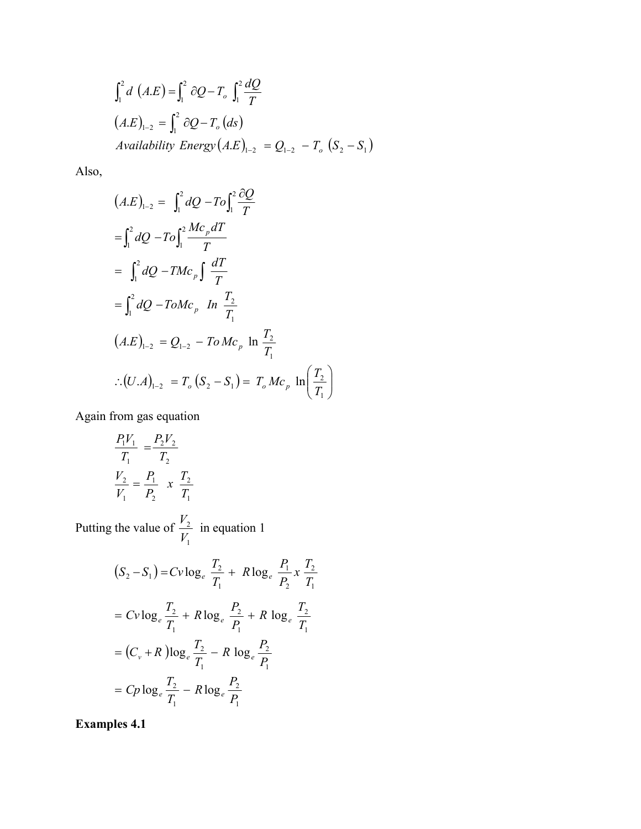$$
\int_{1}^{2} d(A.E) = \int_{1}^{2} \partial Q - T_o \int_{1}^{2} \frac{dQ}{T}
$$
  
(*A.E*)<sub>1-2</sub> =  $\int_{1}^{2} \partial Q - T_o (ds)$   
Availability Energy(*A.E*)<sub>1-2</sub> =  $Q_{1-2} - T_o (S_2 - S_1)$ 

Also,

$$
(A.E)_{1-2} = \int_{1}^{2} dQ - To \int_{1}^{2} \frac{\partial Q}{T}
$$
  
\n
$$
= \int_{1}^{2} dQ - To \int_{1}^{2} \frac{Mc_{p}dT}{T}
$$
  
\n
$$
= \int_{1}^{2} dQ - TMc_{p} \int \frac{dT}{T}
$$
  
\n
$$
= \int_{1}^{2} dQ - ToMc_{p} \quad In \quad \frac{T_{2}}{T_{1}}
$$
  
\n
$$
(A.E)_{1-2} = Q_{1-2} - ToMc_{p} \quad In \quad \frac{T_{2}}{T_{1}}
$$
  
\n
$$
\therefore (U.A)_{1-2} = T_{o} (S_{2} - S_{1}) = T_{o} Mc_{p} \quad In \quad \frac{T_{2}}{T_{1}}
$$

Again from gas equation

$$
\frac{P_1 V_1}{T_1} = \frac{P_2 V_2}{T_2}
$$

$$
\frac{V_2}{V_1} = \frac{P_1}{P_2} \times \frac{T_2}{T_1}
$$

Putting the value of 1 2 *V*  $\frac{V_2}{V_1}$  in equation 1

$$
(S_2 - S_1) = Cv \log_e \frac{T_2}{T_1} + R \log_e \frac{P_1}{P_2} x \frac{T_2}{T_1}
$$
  
=  $Cv \log_e \frac{T_2}{T_1} + R \log_e \frac{P_2}{P_1} + R \log_e \frac{T_2}{T_1}$   
=  $(C_v + R) \log_e \frac{T_2}{T_1} - R \log_e \frac{P_2}{P_1}$   
=  $Cp \log_e \frac{T_2}{T_1} - R \log_e \frac{P_2}{P_1}$ 

**Examples 4.1**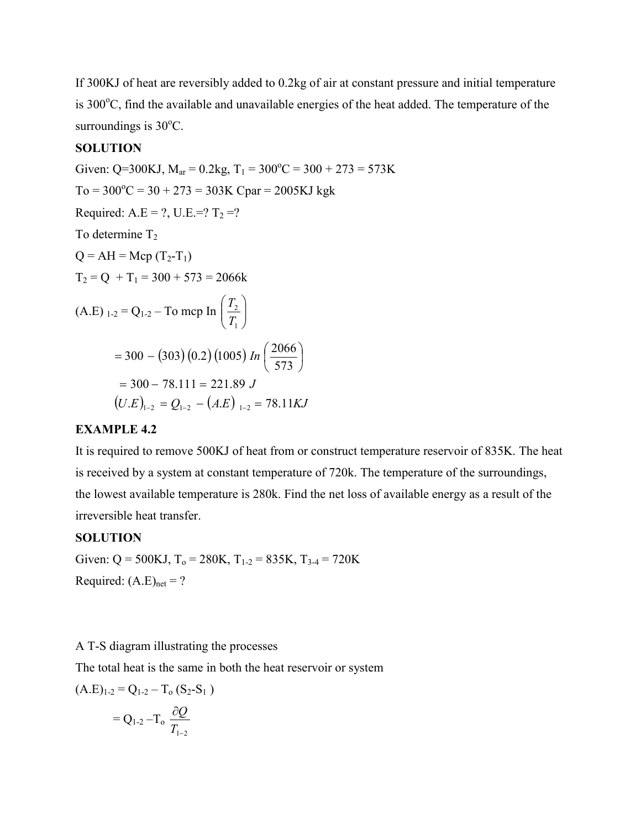If 300KJ of heat are reversibly added to 0.2kg of air at constant pressure and initial temperature is  $300^{\circ}$ C, find the available and unavailable energies of the heat added. The temperature of the surroundings is  $30^{\circ}$ C.

# **SOLUTION**

Given: Q=300KJ,  $M_{ar} = 0.2kg$ ,  $T_1 = 300^{\circ}C = 300 + 273 = 573K$  $To = 300^{\circ}C = 30 + 273 = 303K$  Cpar = 2005KJ kgk Required: A.E = ?, U.E.=?  $T_2$  =? To determine  $T_2$  $Q = AH = Mcp (T_2-T_1)$  $T_2 = Q + T_1 = 300 + 573 = 2066k$  $(A.E)$  1-2 = Q<sub>1-2</sub> – To mcp In  $\frac{r_2}{T}$  $\bigg)$  $\setminus$  $\overline{\phantom{a}}$  $\setminus$ ſ 1 2 *T T In*  $(U.E)_{1-2} = Q_{1-2} - (A.E)_{1-2} = 78.11KJ$  $=$  300  $-$  78.111  $=$  221.89 J 573 300 - (303) (0.2) (1005) In  $\left(\frac{2066}{573}\right)$  $\bigg)$  $\left(\frac{2066}{572}\right)$  $\setminus$  $=$  300  $-$  (303) (0.2) (1005) In  $\Big($ 

# **EXAMPLE 4.2**

It is required to remove 500KJ of heat from or construct temperature reservoir of 835K. The heat is received by a system at constant temperature of 720k. The temperature of the surroundings, the lowest available temperature is 280k. Find the net loss of available energy as a result of the irreversible heat transfer.

## **SOLUTION**

Given:  $Q = 500KJ$ ,  $T_0 = 280K$ ,  $T_{1-2} = 835K$ ,  $T_{3-4} = 720K$ Required:  $(A.E)_{net} = ?$ 

#### A T-S diagram illustrating the processes

The total heat is the same in both the heat reservoir or system

$$
(A.E)_{1\text{-}2} = Q_{1\text{-}2} - T_o (S_2-S_1)
$$

$$
= Q_{1\text{-}2} - T_o \frac{\partial Q}{T_{1\text{-}2}}
$$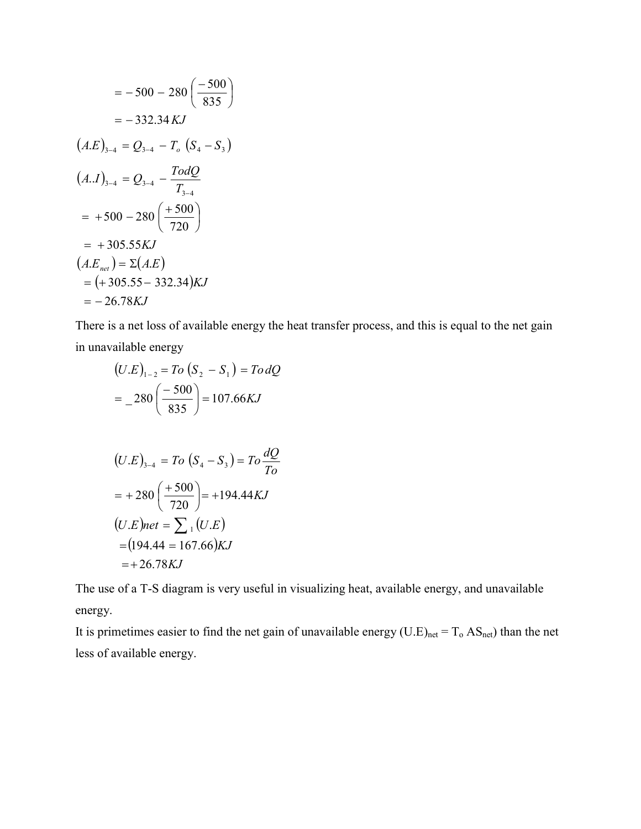$$
= -500 - 280 \left( \frac{-500}{835} \right)
$$
  

$$
= -332.34 KJ
$$
  

$$
(A.E)_{3-4} = Q_{3-4} - T_o (S_4 - S_3)
$$
  

$$
(A.I)_{3-4} = Q_{3-4} - \frac{TodQ}{T_{3-4}}
$$
  

$$
= +500 - 280 \left( \frac{+500}{720} \right)
$$
  

$$
= +305.55 KJ
$$
  

$$
(A.E_{net}) = \Sigma(A.E)
$$
  

$$
= (+305.55 - 332.34) KJ
$$
  

$$
= -26.78 KJ
$$

There is a net loss of available energy the heat transfer process, and this is equal to the net gain in unavailable energy

$$
(U.E)_{1-2} = To (S_2 - S_1) = To dQ
$$

$$
= -280 \left(\frac{-500}{835}\right) = 107.66 KJ
$$

$$
(U.E)_{3-4} = To (S_4 - S_3) = To \frac{dQ}{To}
$$
  
= +280  $\left(\frac{+500}{720}\right)$  = +194.44KJ  
 $(U.E)net = \sum_1 (U.E)$   
= (194.44 = 167.66)KJ  
= +26.78KJ

The use of a T-S diagram is very useful in visualizing heat, available energy, and unavailable energy.

It is primetimes easier to find the net gain of unavailable energy  $(U.E)_{net} = T_0 AS_{net}$ ) than the net less of available energy.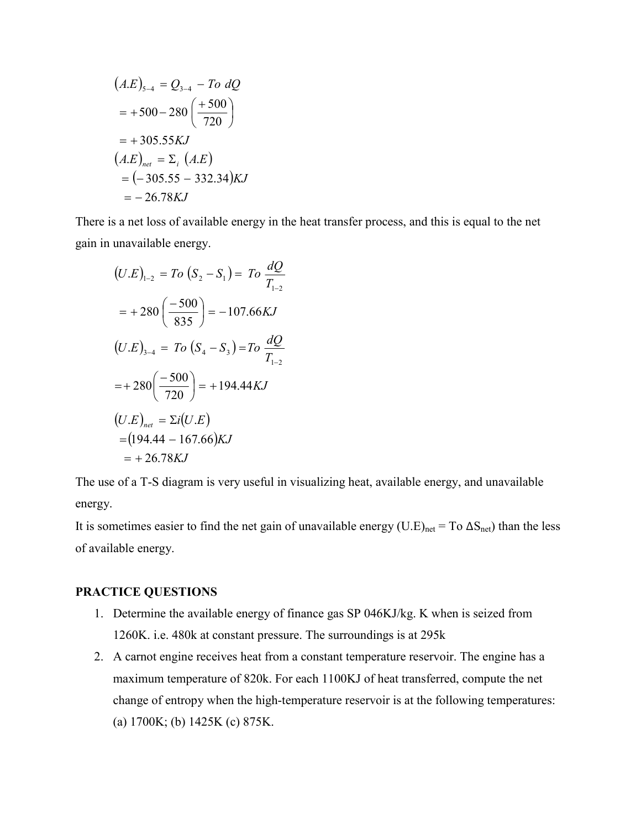$$
(A.E)_{5-4} = Q_{3-4} - To \ dQ
$$
  
= +500 - 280  $\left(\frac{+500}{720}\right)$   
= +305.55 KJ  

$$
(A.E)_{net} = \Sigma_i (A.E)
$$
  
= (-305.55 - 332.34) KJ  
= -26.78 KJ

There is a net loss of available energy in the heat transfer process, and this is equal to the net gain in unavailable energy.

$$
(U.E)_{1-2} = To (S_2 - S_1) = To \frac{dQ}{T_{1-2}}
$$
  
= +280  $\left(\frac{-500}{835}\right)$  = -107.66*KJ*  
 $(U.E)_{3-4} = To (S_4 - S_3) = To \frac{dQ}{T_{1-2}}$   
= +280  $\left(\frac{-500}{720}\right)$  = +194.44*KJ*  
 $(U.E)_{net} = \Sigma i(U.E)$   
= (194.44 - 167.66)*KJ*  
= +26.78*KJ*

The use of a T-S diagram is very useful in visualizing heat, available energy, and unavailable energy.

It is sometimes easier to find the net gain of unavailable energy (U.E)<sub>net</sub> = To  $\Delta S_{net}$ ) than the less of available energy.

#### **PRACTICE QUESTIONS**

- 1. Determine the available energy of finance gas SP 046KJ/kg. K when is seized from 1260K. i.e. 480k at constant pressure. The surroundings is at 295k
- 2. A carnot engine receives heat from a constant temperature reservoir. The engine has a maximum temperature of 820k. For each 1100KJ of heat transferred, compute the net change of entropy when the high-temperature reservoir is at the following temperatures: (a) 1700K; (b) 1425K (c) 875K.